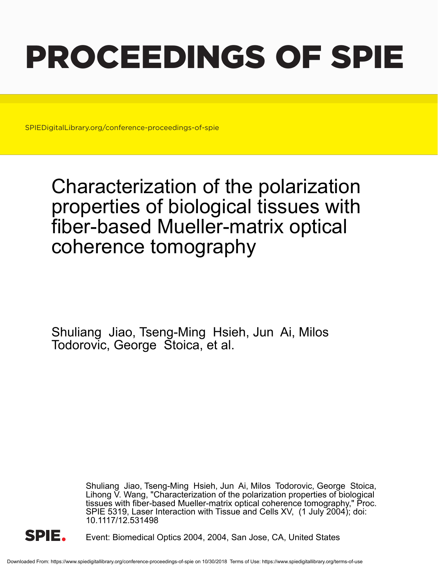# PROCEEDINGS OF SPIE

SPIEDigitalLibrary.org/conference-proceedings-of-spie

## Characterization of the polarization properties of biological tissues with fiber-based Mueller-matrix optical coherence tomography

Shuliang Jiao, Tseng-Ming Hsieh, Jun Ai, Milos Todorovic, George Stoica, et al.

> Shuliang Jiao, Tseng-Ming Hsieh, Jun Ai, Milos Todorovic, George Stoica, Lihong V. Wang, "Characterization of the polarization properties of biological tissues with fiber-based Mueller-matrix optical coherence tomography," Proc. SPIE 5319, Laser Interaction with Tissue and Cells XV, (1 July 2004); doi: 10.1117/12.531498



Event: Biomedical Optics 2004, 2004, San Jose, CA, United States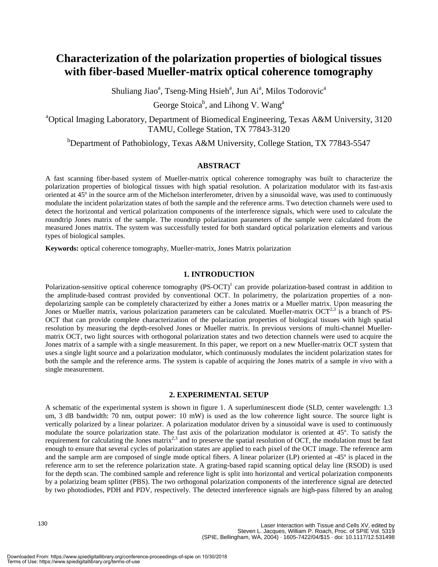### **Characterization of the polarization properties of biological tissues with fiber-based Mueller-matrix optical coherence tomography**

Shuliang Jiao<sup>a</sup>, Tseng-Ming Hsieh<sup>a</sup>, Jun Ai<sup>a</sup>, Milos Todorovic<sup>a</sup>

George Stoica<sup>b</sup>, and Lihong V. Wang<sup>a</sup>

<sup>a</sup>Optical Imaging Laboratory, Department of Biomedical Engineering, Texas A&M University, 3120 TAMU, College Station, TX 77843-3120

<sup>b</sup>Department of Pathobiology, Texas A&M University, College Station, TX 77843-5547

#### **ABSTRACT**

A fast scanning fiber-based system of Mueller-matrix optical coherence tomography was built to characterize the polarization properties of biological tissues with high spatial resolution. A polarization modulator with its fast-axis oriented at 45º in the source arm of the Michelson interferometer, driven by a sinusoidal wave, was used to continuously modulate the incident polarization states of both the sample and the reference arms. Two detection channels were used to detect the horizontal and vertical polarization components of the interference signals, which were used to calculate the roundtrip Jones matrix of the sample. The roundtrip polarization parameters of the sample were calculated from the measured Jones matrix. The system was successfully tested for both standard optical polarization elements and various types of biological samples.

**Keywords:** optical coherence tomography, Mueller-matrix, Jones Matrix polarization

#### **1. INTRODUCTION**

Polarization-sensitive optical coherence tomography  $(PS-OCT)^1$  can provide polarization-based contrast in addition to the amplitude-based contrast provided by conventional OCT. In polarimetry, the polarization properties of a nondepolarizing sample can be completely characterized by either a Jones matrix or a Mueller matrix. Upon measuring the Jones or Mueller matrix, various polarization parameters can be calculated. Mueller-matrix  $OCT^{2,3}$  is a branch of PS-OCT that can provide complete characterization of the polarization properties of biological tissues with high spatial resolution by measuring the depth-resolved Jones or Mueller matrix. In previous versions of multi-channel Muellermatrix OCT, two light sources with orthogonal polarization states and two detection channels were used to acquire the Jones matrix of a sample with a single measurement. In this paper, we report on a new Mueller-matrix OCT system that uses a single light source and a polarization modulator, which continuously modulates the incident polarization states for both the sample and the reference arms. The system is capable of acquiring the Jones matrix of a sample *in vivo* with a single measurement.

#### **2. EXPERIMENTAL SETUP**

A schematic of the experimental system is shown in figure 1. A superluminescent diode (SLD, center wavelength: 1.3 um, 3 dB bandwidth: 70 nm, output power: 10 mW) is used as the low coherence light source. The source light is vertically polarized by a linear polarizer. A polarization modulator driven by a sinusoidal wave is used to continuously modulate the source polarization state. The fast axis of the polarization modulator is oriented at 45º. To satisfy the requirement for calculating the Jones matrix<sup>2,3</sup> and to preserve the spatial resolution of OCT, the modulation must be fast enough to ensure that several cycles of polarization states are applied to each pixel of the OCT image. The reference arm and the sample arm are composed of single mode optical fibers. A linear polarizer (LP) oriented at -45º is placed in the reference arm to set the reference polarization state. A grating-based rapid scanning optical delay line (RSOD) is used for the depth scan. The combined sample and reference light is split into horizontal and vertical polarization components by a polarizing beam splitter (PBS). The two orthogonal polarization components of the interference signal are detected by two photodiodes, PDH and PDV, respectively. The detected interference signals are high-pass filtered by an analog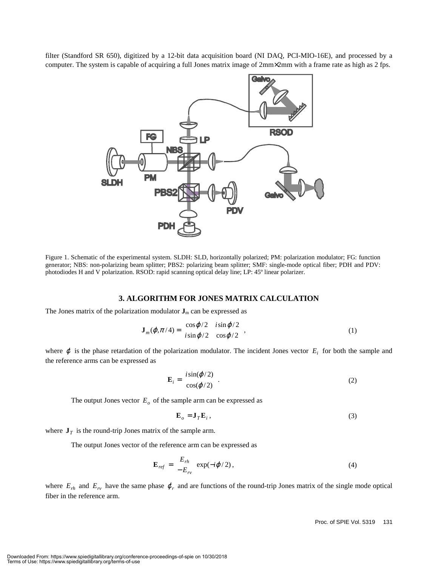filter (Standford SR 650), digitized by a 12-bit data acquisition board (NI DAQ, PCI-MIO-16E), and processed by a computer. The system is capable of acquiring a full Jones matrix image of 2mm×2mm with a frame rate as high as 2 fps.



Figure 1. Schematic of the experimental system. SLDH: SLD, horizontally polarized; PM: polarization modulator; FG: function generator; NBS: non-polarizing beam splitter; PBS2: polarizing beam splitter; SMF: single-mode optical fiber; PDH and PDV: photodiodes H and V polarization. RSOD: rapid scanning optical delay line; LP: 45º linear polarizer.

#### **3. ALGORITHM FOR JONES MATRIX CALCULATION**

The Jones matrix of the polarization modulator  $J_m$  can be expressed as

$$
\mathbf{J}_m(\varphi, \pi/4) = \begin{bmatrix} \cos\varphi/2 & i\sin\varphi/2\\ i\sin\varphi/2 & \cos\varphi/2 \end{bmatrix},
$$
 (1)

where  $\varphi$  is the phase retardation of the polarization modulator. The incident Jones vector  $E_i$  for both the sample and the reference arms can be expressed as

$$
\mathbf{E}_{i} = \begin{bmatrix} i\sin(\varphi/2) \\ \cos(\varphi/2) \end{bmatrix}.
$$
 (2)

The output Jones vector  $E_o$  of the sample arm can be expressed as

$$
\mathbf{E}_o = \mathbf{J}_T \mathbf{E}_i,\tag{3}
$$

where  $J<sub>T</sub>$  is the round-trip Jones matrix of the sample arm.

The output Jones vector of the reference arm can be expressed as

$$
\mathbf{E}_{ref} = \begin{bmatrix} E_{rh} \\ -E_{rv} \end{bmatrix} \exp(-i\varphi/2), \qquad (4)
$$

where  $E_{rh}$  and  $E_{rv}$  have the same phase  $\varphi_r$  and are functions of the round-trip Jones matrix of the single mode optical fiber in the reference arm.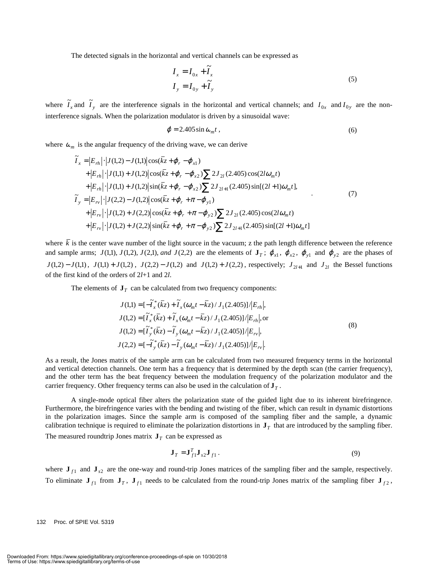The detected signals in the horizontal and vertical channels can be expressed as

$$
I_x = I_{0x} + \widetilde{I}_x
$$
  
\n
$$
I_y = I_{0y} + \widetilde{I}_y
$$
\n(5)

where  $\tilde{I}_x$  and  $\tilde{I}_y$  are the interference signals in the horizontal and vertical channels; and  $I_{0x}$  and  $I_{0y}$  are the noninterference signals. When the polarization modulator is driven by a sinusoidal wave:

$$
\varphi = 2.405 \sin \omega_m t \,, \tag{6}
$$

where  $\omega_m$  is the angular frequency of the driving wave, we can derive

$$
\widetilde{I}_x = |E_{rh}| \cdot |J(1,2) - J(1,1)| \cos(\bar{k}z + \varphi_r - \varphi_{x1}) \n+ |E_{rh}| \cdot |J(1,1) + J(1,2)| \cos(\bar{k}z + \varphi_r - \varphi_{x2}) \sum 2J_{2l}(2.405) \cos(2l\omega_m t) \n+ |E_{rh}| \cdot |J(1,1) + J(1,2)| \sin(\bar{k}z + \varphi_r - \varphi_{x2}) \sum 2J_{2l+1}(2.405) \sin[(2l+1)\omega_m t], \n\widetilde{I}_y = |E_{rv}| \cdot |J(2,2) - J(1,2)| \cos(\bar{k}z + \varphi_r + \pi - \varphi_{y1}) \n+ |E_{rv}| \cdot |J(1,2) + J(2,2)| \cos(\bar{k}z + \varphi_r + \pi - \varphi_{y2}) \sum 2J_{2l}(2.405) \cos(2l\omega_m t) \n+ |E_{rv}| \cdot |J(1,2) + J(2,2)| \sin(\bar{k}z + \varphi_r + \pi - \varphi_{y2}) \sum 2J_{2l+1}(2.405) \sin[(2l+1)\omega_m t]
$$

where  $\overline{k}$  is the center wave number of the light source in the vacuum; z the path length difference between the reference and sample arms;  $J(1,1)$ ,  $J(1,2)$ ,  $J(2,1)$ , and  $J(2,2)$  are the elements of  $\mathbf{J}_T$ ;  $\varphi_{x1}$ ,  $\varphi_{x2}$ ,  $\varphi_{y1}$  and  $\varphi_{y2}$  are the phases of *J*(1,2) − *J*(1,1), *J*(1,1) + *J*(1,2), *J*(2,2) − *J*(1,2) and *J*(1,2) + *J*(2,2), respectively; *J*<sub>2/+1</sub> and *J*<sub>2/</sub> the Bessel functions of the first kind of the orders of 2*l*+1 and 2*l*.

The elements of  $J<sub>T</sub>$  can be calculated from two frequency components:

$$
J(1,1) = \left[-\tilde{I}_x^*(\bar{k}z) + \tilde{I}_x(\omega_m t - \bar{k}z)/J_1(2.405)\right]/E_{rh},
$$
  
\n
$$
J(1,2) = \left[\tilde{I}_x^*(\bar{k}z) + \tilde{I}_x(\omega_m t - \bar{k}z)/J_1(2.405)\right]/E_{rh},
$$
  
\n
$$
J(1,2) = \left[\tilde{I}_y^*(\bar{k}z) - \tilde{I}_y(\omega_m t - \bar{k}z)/J_1(2.405)\right]/E_{rv},
$$
  
\n
$$
J(2,2) = \left[-\tilde{I}_y^*(\bar{k}z) - \tilde{I}_y(\omega_m t - \bar{k}z)/J_1(2.405)\right]/E_{rv}.
$$
\n(8)

As a result, the Jones matrix of the sample arm can be calculated from two measured frequency terms in the horizontal and vertical detection channels. One term has a frequency that is determined by the depth scan (the carrier frequency), and the other term has the beat frequency between the modulation frequency of the polarization modulator and the carrier frequency. Other frequency terms can also be used in the calculation of  $J<sub>T</sub>$ .

A single-mode optical fiber alters the polarization state of the guided light due to its inherent birefringence. Furthermore, the birefringence varies with the bending and twisting of the fiber, which can result in dynamic distortions in the polarization images. Since the sample arm is composed of the sampling fiber and the sample, a dynamic calibration technique is required to eliminate the polarization distortions in  $J<sub>T</sub>$  that are introduced by the sampling fiber. The measured roundtrip Jones matrix  $J<sub>T</sub>$  can be expressed as

$$
\mathbf{J}_T = \mathbf{J}_{f1}^T \mathbf{J}_{s2} \mathbf{J}_{f1} \,. \tag{9}
$$

where  $J_{f1}$  and  $J_{s2}$  are the one-way and round-trip Jones matrices of the sampling fiber and the sample, respectively. To eliminate  $J_{f1}$  from  $J_T$ ,  $J_{f1}$  needs to be calculated from the round-trip Jones matrix of the sampling fiber  $J_{f2}$ ,

#### 132 Proc. of SPIE Vol. 5319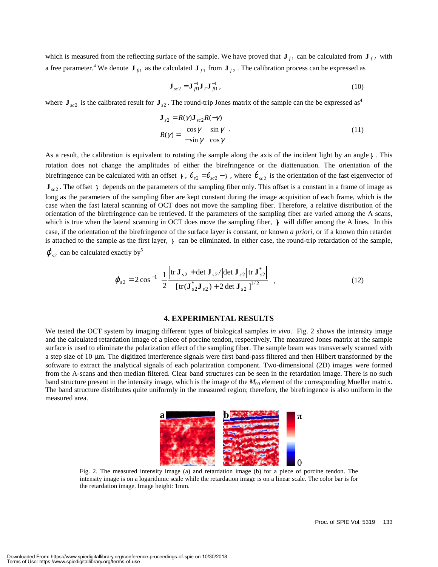which is measured from the reflecting surface of the sample. We have proved that  $J_{f_1}$  can be calculated from  $J_{f_2}$  with a free parameter.<sup>4</sup> We denote  $J_{fl1}$  as the calculated  $J_{f1}$  from  $J_{f2}$ . The calibration process can be expressed as

$$
\mathbf{J}_{sc2} = \mathbf{J}_{fl1}^{-1} \mathbf{J}_T \mathbf{J}_{fl1}^{-1},\tag{10}
$$

where  $J_{sc2}$  is the calibrated result for  $J_{s2}$ . The round-trip Jones matrix of the sample can the be expressed as<sup>4</sup>

$$
\mathbf{J}_{s2} = R(\gamma)\mathbf{J}_{sc2}R(-\gamma)
$$
  
\n
$$
R(\gamma) = \begin{bmatrix} \cos \gamma & \sin \gamma \\ -\sin \gamma & \cos \gamma \end{bmatrix}.
$$
\n(11)

As a result, the calibration is equivalent to rotating the sample along the axis of the incident light by an angle  $\gamma$ . This rotation does not change the amplitudes of either the birefringence or the diattenuation. The orientation of the birefringence can be calculated with an offset  $\gamma$ ,  $\theta_{s2} = \theta_{sc2} - \gamma$ , where  $\theta_{sc2}$  is the orientation of the fast eigenvector of  $\mathbf{J}_{sc2}$ . The offset  $\gamma$  depends on the parameters of the sampling fiber only. This offset is a constant in a frame of image as long as the parameters of the sampling fiber are kept constant during the image acquisition of each frame, which is the case when the fast lateral scanning of OCT does not move the sampling fiber. Therefore, a relative distribution of the orientation of the birefringence can be retrieved. If the parameters of the sampling fiber are varied among the A scans, which is true when the lateral scanning in OCT does move the sampling fiber,  $\gamma$  will differ among the A lines. In this case, if the orientation of the birefringence of the surface layer is constant, or known *a priori,* or if a known thin retarder is attached to the sample as the first layer,  $\gamma$  can be eliminated. In either case, the round-trip retardation of the sample,

 $\varphi_{s2}$  can be calculated exactly by<sup>5</sup>

$$
\varphi_{s2} = 2\cos^{-1}\left\{\frac{1}{2}\frac{\left|\text{tr}\,\mathbf{J}_{s2} + \text{det}\,\mathbf{J}_{s2}/\text{det}\,\mathbf{J}_{s2}\right|\text{tr}\,\mathbf{J}_{s2}^*\right\}}{\left[\text{tr}(\mathbf{J}_{s2}^*\mathbf{J}_{s2}) + 2\left|\text{det}\,\mathbf{J}_{s2}\right|\right]^{1/2}},\tag{12}
$$

#### **4. EXPERIMENTAL RESULTS**

We tested the OCT system by imaging different types of biological samples *in vivo*. Fig. 2 shows the intensity image and the calculated retardation image of a piece of porcine tendon, respectively. The measured Jones matrix at the sample surface is used to eliminate the polarization effect of the sampling fiber. The sample beam was transversely scanned with a step size of 10 µm. The digitized interference signals were first band-pass filtered and then Hilbert transformed by the software to extract the analytical signals of each polarization component. Two-dimensional (2D) images were formed from the A-scans and then median filtered. Clear band structures can be seen in the retardation image. There is no such band structure present in the intensity image, which is the image of the *M*<sub>00</sub> element of the corresponding Mueller matrix. The band structure distributes quite uniformly in the measured region; therefore, the birefringence is also uniform in the measured area.



Fig. 2. The measured intensity image (a) and retardation image (b) for a piece of porcine tendon. The intensity image is on a logarithmic scale while the retardation image is on a linear scale. The color bar is for the retardation image. Image height: 1mm.